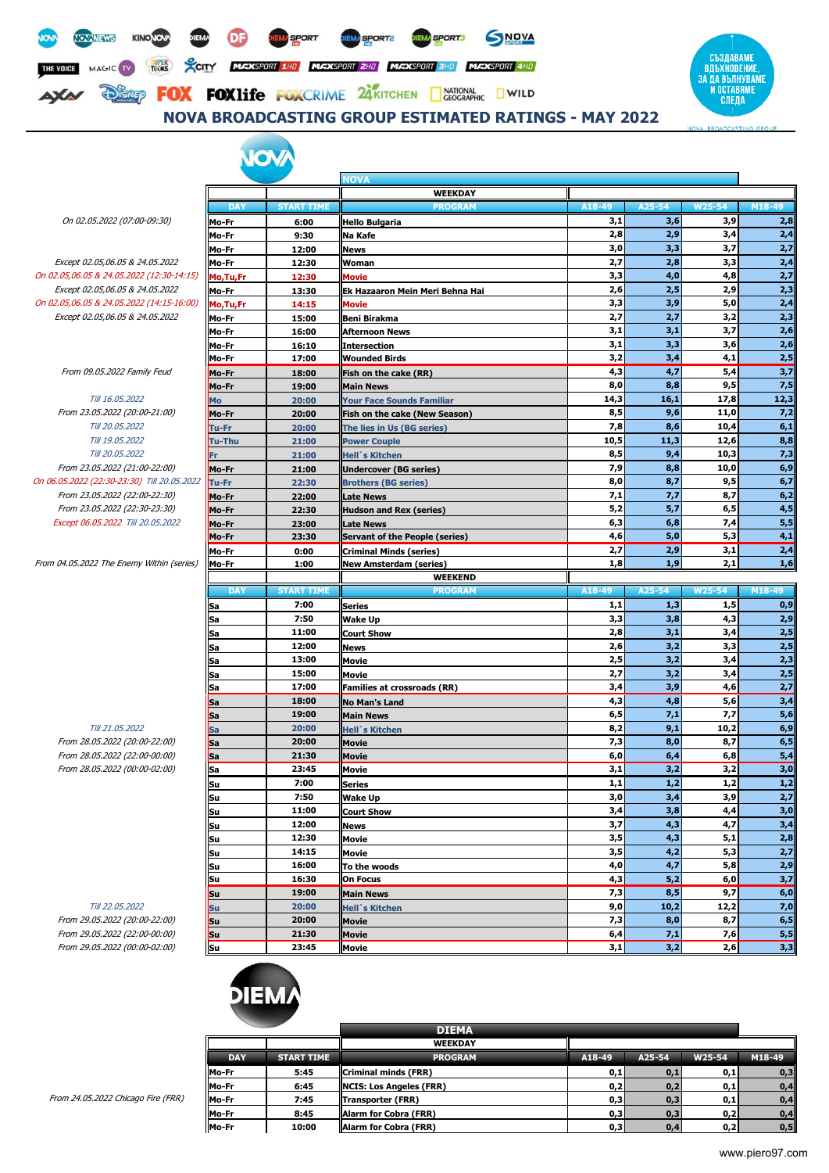



### **NOVA BROADCASTING GROUP ESTIMATED RATINGS - MAY 2022**

## **TAV**

On 02.05.2022 (07:00-09:30) **Mo-Fr 6:00 Hello Bulgaria 3,1 3,6 3,9 2,8**

Except 02.05,06.05 & 24.05.2022 **Mo-Fr 12:30 Woman 2,7 2,8 3,3 2,4** On 02.05,06.05 & 24.05.2022 (12:30-14:15) **Mo,Tu,Fr 12:30 Movie 3,3 4,0 4,8 2,7** Except 02.05,06.05 & 24.05.2022 **Mo-Fr 13:30 Ek Hazaaron Mein Meri Behna Hai 2,6 2,5 2,9 2,3** On 02.05,06.05 & 24.05.2022 (14:15-16:00) **Mo,Tu,Fr 14:15 Movie 3,3 3,9 5,0 2,4** Except 02.05,06.05 & 24.05.2022 **Mo-Fr 15:00 Beni Birakma 2,7 2,7 3,2 2,3**

 $From 09.05.2022 Family Feud$ 

From 23.05.2022 (20:00-21:00) **Mo-Fr 20:00 Fish on the cake (New Season) 8,5 9,6 11,0 7,2** From 23.05.2022 (21:00-22:00) **Mo-Fr 21:00 Undercover (BG series) 7,9 8,8 10,0 6,9** On 06.05.2022 (22:30-23:30) Till 20.05.2022 **Tu-Fr 22:30 Brothers (BG series) 8,0 8,7 9,5 6,7** From 23.05.2022 (22:00-22:30) **Mo-Fr 22:00 Late News 7,1 7,7 8,7 6,2** From 23.05.2022 (22:30-23:30) **Mo-Fr 22:30 Hudson and Rex (series) 5,2 5,7 6,5 4,5** Except 06.05.2022 Till 20.05.2022 **Mo-Fr 23:00 Late News 6,3 6,8 7,4 5,5**

 $From 04.05.2022$  The Enemy Within (series)

|                               |            | <b>VOVA</b>       |                                       |        |        |        |        |
|-------------------------------|------------|-------------------|---------------------------------------|--------|--------|--------|--------|
|                               |            |                   | <b>NOVA</b>                           |        |        |        |        |
|                               |            |                   | <b>WEEKDAY</b>                        |        |        |        |        |
|                               | <b>DAY</b> | <b>START TIME</b> | <b>PROGRAM</b>                        | A18-49 | A25-54 | W25-54 | M18-49 |
| 05.2022 (07:00-09:30)         | Mo-Fr      | 6:00              | <b>Hello Bulgaria</b>                 | 3,1    | 3,6    | 3,9    | 2,8    |
|                               | Mo-Fr      | 9:30              | Na Kafe                               | 2,8    | 2,9    | 3,4    | 2,4    |
|                               | Mo-Fr      | 12:00             | <b>News</b>                           | 3,0    | 3,3    | 3,7    | 2,7    |
| 2.05,06.05 & 24.05.2022       | Mo-Fr      | 12:30             | Woman                                 | 2,7    | 2,8    | 3,3    | 2,4    |
| 5 & 24.05.2022 (12:30-14:15)  | Mo,Tu,Fr   | 12:30             | <b>Movie</b>                          | 3,3    | 4,0    | 4,8    | 2,7    |
| 2.05,06.05 & 24.05.2022       | Mo-Fr      | 13:30             | Ek Hazaaron Mein Meri Behna Hai       | 2,6    | 2,5    | 2,9    | 2,3    |
| 5 & 24.05.2022 (14:15-16:00)  | Mo,Tu,Fr   | 14:15             | <b>Movie</b>                          | 3,3    | 3,9    | 5,0    | 2,4    |
| 2.05,06.05 & 24.05.2022       | Mo-Fr      | 15:00             | <b>Beni Birakma</b>                   | 2,7    | 2,7    | 3,2    | 2,3    |
|                               | Mo-Fr      | 16:00             | <b>Afternoon News</b>                 | 3,1    | 3,1    | 3,7    | 2,6    |
|                               | Mo-Fr      | 16:10             | <b>Intersection</b>                   | 3,1    | 3,3    | 3,6    | 2,6    |
|                               | Mo-Fr      | 17:00             | <b>Wounded Birds</b>                  | 3,2    | 3,4    | 4,1    | 2,5    |
| 9.05.2022 Family Feud         | Mo-Fr      | 18:00             | Fish on the cake (RR)                 | 4,3    | 4,7    | 5,4    | 3,7    |
|                               | Mo-Fr      | 19:00             | <b>Main News</b>                      | 8,0    | 8,8    | 9,5    | 7,5    |
| Till 16.05.2022               | Mo         | 20:00             | <b>Your Face Sounds Familiar</b>      | 14,3   | 16,1   | 17,8   | 12,3   |
| .05.2022 (20:00-21:00)        | Mo-Fr      | 20:00             | Fish on the cake (New Season)         | 8,5    | 9,6    | 11,0   | 7,2    |
| Till 20.05.2022               | Tu-Fr      | 20:00             | The lies in Us (BG series)            | 7,8    | 8,6    | 10,4   | 6,1    |
| Till 19.05.2022               | Tu-Thu     | 21:00             | <b>Power Couple</b>                   | 10,5   | 11,3   | 12,6   | 8,8    |
| Till 20.05.2022               | Fr         | 21:00             | <b>Hell</b> 's Kitchen                | 8,5    | 9,4    | 10,3   | 7,3    |
| .05.2022 (21:00-22:00)        | Mo-Fr      | 21:00             | <b>Undercover (BG series)</b>         | 7,9    | 8,8    | 10,0   | 6,9    |
| (22:30-23:30) Till 20.05.2022 | Tu-Fr      | 22:30             | <b>Brothers (BG series)</b>           | 8,0    | 8,7    | 9,5    | 6,7    |
| 05.2022 (22:00-22:30)         | Mo-Fr      | 22:00             | <b>Late News</b>                      | 7,1    | 7,7    | 8,7    | 6,2    |
| .05.2022 (22:30-23:30)        | Mo-Fr      | 22:30             | <b>Hudson and Rex (series)</b>        | 5,2    | 5,7    | 6,5    | 4,5    |
| 05.2022 Till 20.05.2022       | Mo-Fr      | 23:00             | <b>Late News</b>                      | 6,3    | 6,8    | 7,4    | 5,5    |
|                               | Mo-Fr      | 23:30             | <b>Servant of the People (series)</b> | 4,6    | 5,0    | 5,3    | 4,1    |
|                               | Mo-Fr      | 0:00              | <b>Criminal Minds (series)</b>        | 2,7    | 2,9    | 3,1    | 2,4    |
| 22 The Enemy Within (series)  | Mo-Fr      | 1:00              | <b>New Amsterdam (series)</b>         | 1,8    | 1,9    | 2,1    | 1,6    |
|                               |            |                   | <b>WEEKEND</b>                        |        |        |        |        |
|                               |            |                   |                                       |        |        |        |        |

|                               |           |                   | WEEREND                            |        |        |        |                |
|-------------------------------|-----------|-------------------|------------------------------------|--------|--------|--------|----------------|
|                               | DAY       | <b>START TIME</b> | <b>PROGRAM</b>                     | A18-49 | A25-54 | W25-54 | M18-49         |
|                               | <b>Sa</b> | 7:00              | <b>Series</b>                      | 1,1    | 1,3    | 1,5    | 0,9            |
|                               | Sa        | 7:50              | <b>Wake Up</b>                     | 3,3    | 3,8    | 4,3    | 2,9            |
|                               | <b>Sa</b> | 11:00             | <b>Court Show</b>                  | 2,8    | 3,1    | 3,4    | $\mathbf{2,5}$ |
|                               | Sa        | 12:00             | <b>News</b>                        | 2,6    | 3,2    | 3,3    | 2,5            |
|                               | Sa        | 13:00             | Movie                              | 2,5    | 3,2    | 3,4    | 2,3            |
|                               | <b>Sa</b> | 15:00             | Movie                              | 2,7    | 3,2    | 3,4    | 2,5            |
|                               | Sa        | 17:00             | <b>Families at crossroads (RR)</b> | 3,4    | 3,9    | 4,6    | 2,7            |
|                               | <b>Sa</b> | 18:00             | <b>No Man's Land</b>               | 4,3    | 4,8    | 5,6    | 3,4            |
|                               | <b>Sa</b> | 19:00             | <b>Main News</b>                   | 6, 5   | 7,1    | 7,7    | 5,6            |
| Till 21.05.2022               | <b>Sa</b> | 20:00             | <b>Hell</b> 's Kitchen             | 8,2    | 9,1    | 10,2   | 6,9            |
| From 28.05.2022 (20:00-22:00) | <b>Sa</b> | 20:00             | Movie                              | 7,3    | 8,0    | 8,7    | 6,5            |
| From 28.05.2022 (22:00-00:00) | <b>Sa</b> | 21:30             | <b>Movie</b>                       | 6,0    | 6,4    | 6,8    | 5,4            |
| From 28.05.2022 (00:00-02:00) | Sa        | 23:45             | <b>Movie</b>                       | 3,1    | 3,2    | 3,2    | 3,0            |
|                               | <b>Su</b> | 7:00              | <b>Series</b>                      | 1,1    | 1,2    | 1,2    | 1,2            |
|                               | lSu       | 7:50              | <b>Wake Up</b>                     | 3,0    | 3,4    | 3,9    | 2,7            |
|                               | <b>Su</b> | 11:00             | <b>Court Show</b>                  | 3,4    | 3,8    | 4,4    | 3,0            |
|                               | lSu       | 12:00             | <b>News</b>                        | 3,7    | 4,3    | 4,7    | 3,4            |
|                               | <b>Su</b> | 12:30             | Movie                              | 3,5    | 4,3    | 5,1    | 2,8            |
|                               | <b>Su</b> | 14:15             | Movie                              | 3,5    | 4,2    | 5,3    | 2,7            |
|                               | Su        | 16:00             | To the woods                       | 4,0    | 4,7    | 5,8    | 2,9            |
|                               | Su        | 16:30             | <b>On Focus</b>                    | 4,3    | 5,2    | 6,0    | 3,7            |
|                               | <b>Su</b> | 19:00             | <b>Main News</b>                   | 7,3    | 8,5    | 9,7    | 6,0            |
| Till 22.05.2022               | <b>Su</b> | 20:00             | <b>Hell</b> 's Kitchen             | 9,0    | 10,2   | 12,2   | 7,0            |
| From 29.05.2022 (20:00-22:00) | <b>Su</b> | 20:00             | <b>Movie</b>                       | 7,3    | 8,0    | 8,7    | 6,5            |
| From 29.05.2022 (22:00-00:00) | <b>Su</b> | 21:30             | <b>Movie</b>                       | 6,4    | 7,1    | 7,6    | 5,5            |
| From 29.05.2022 (00:00-02:00) | <b>Su</b> | 23:45             | <b>Movie</b>                       | 3,1    | 3,2    | 2,6    | 3,3            |



|            |                   | <b>DIEMA</b>                   |        |        |        |        |
|------------|-------------------|--------------------------------|--------|--------|--------|--------|
|            |                   | <b>WEEKDAY</b>                 |        |        |        |        |
| <b>DAY</b> | <b>START TIME</b> | <b>PROGRAM</b>                 | A18-49 | A25-54 | W25-54 | M18-49 |
| Mo-Fr      | 5:45              | Criminal minds (FRR)           | 0,1    | 0,1    | 0,1    | 0,3    |
| Mo-Fr      | 6:45              | <b>NCIS: Los Angeles (FRR)</b> | 0,2    | 0,2    | 0,1    | 0,4    |
| Mo-Fr      | 7:45              | Transporter (FRR)              | 0,3    | 0,3    | 0,1    | 0,4    |
| Mo-Fr      | 8:45              | <b>Alarm for Cobra (FRR)</b>   | 0,3    | 0,3    | 0,2    | 0,4    |
| Mo-Fr      | 10:00             | <b>Alarm for Cobra (FRR)</b>   | 0,3    | 0.4    | 0,2    | 0, 5   |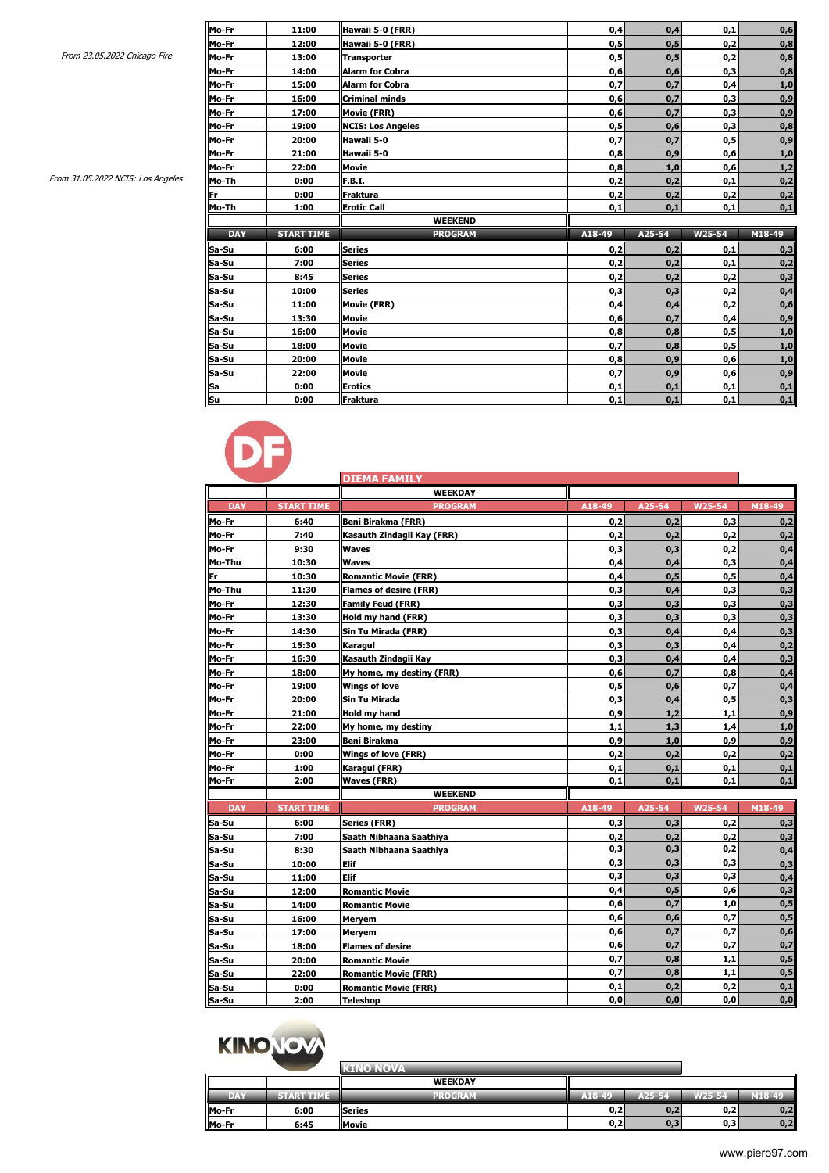| From 31.05.2022 NCIS: Los Angeles |
|-----------------------------------|
|-----------------------------------|

|                                   | Mo-Fr      | 11:00             | Hawaii 5-0 (FRR)         | 0,4    | 0,4    | 0,1    | 0,6    |
|-----------------------------------|------------|-------------------|--------------------------|--------|--------|--------|--------|
|                                   | Mo-Fr      | 12:00             | Hawaii 5-0 (FRR)         | 0,5    | 0, 5   | 0,2    | 0,8    |
| From 23.05.2022 Chicago Fire      | Mo-Fr      | 13:00             | <b>Transporter</b>       | 0,5    | 0, 5   | 0,2    | 0,8    |
|                                   | Mo-Fr      | 14:00             | <b>Alarm for Cobra</b>   | 0,6    | 0,6    | 0,3    | 0,8    |
|                                   | Mo-Fr      | 15:00             | <b>Alarm for Cobra</b>   | 0,7    | 0,7    | 0,4    | 1,0    |
|                                   | Mo-Fr      | 16:00             | <b>Criminal minds</b>    | 0,6    | 0,7    | 0,3    | 0,9    |
|                                   | Mo-Fr      | 17:00             | <b>Movie (FRR)</b>       | 0,6    | 0,7    | 0,3    | 0,9    |
|                                   | Mo-Fr      | 19:00             | <b>NCIS: Los Angeles</b> | 0,5    | 0,6    | 0,3    | 0,8    |
|                                   | Mo-Fr      | 20:00             | Hawaii 5-0               | 0,7    | 0,7    | 0,5    | 0,9    |
|                                   | Mo-Fr      | 21:00             | Hawaii 5-0               | 0,8    | 0,9    | 0,6    | 1,0    |
|                                   | Mo-Fr      | 22:00             | Movie                    | 0,8    | 1,0    | 0,6    | 1,2    |
| From 31.05.2022 NCIS: Los Angeles | Mo-Th      | 0:00              | F.B.I.                   | 0,2    | 0,2    | 0,1    | 0,2    |
|                                   | Fr         | 0:00              | Fraktura                 | 0,2    | 0,2    | 0,2    | 0,2    |
|                                   | Mo-Th      | 1:00              | <b>Erotic Call</b>       | 0,1    | 0,1    | 0,1    | 0,1    |
|                                   |            |                   |                          |        |        |        |        |
|                                   |            |                   | <b>WEEKEND</b>           |        |        |        |        |
|                                   | <b>DAY</b> | <b>START TIME</b> | <b>PROGRAM</b>           | A18-49 | A25-54 | W25-54 | M18-49 |
|                                   | Sa-Su      | 6:00              | <b>Series</b>            | 0,2    | 0,2    | 0,1    | 0,3    |
|                                   | Sa-Su      | 7:00              | <b>Series</b>            | 0,2    | 0,2    | 0,1    | 0,2    |
|                                   | Sa-Su      | 8:45              | <b>Series</b>            | 0,2    | 0,2    | 0,2    | 0,3    |
|                                   | Sa-Su      | 10:00             | <b>Series</b>            | 0,3    | 0,3    | 0,2    | 0,4    |
|                                   | Sa-Su      | 11:00             | <b>Movie (FRR)</b>       | 0,4    | 0,4    | 0,2    | 0,6    |
|                                   | Sa-Su      | 13:30             | <b>Movie</b>             | 0,6    | 0,7    | 0,4    | 0,9    |
|                                   | Sa-Su      | 16:00             | Movie                    | 0,8    | 0,8    | 0,5    | 1,0    |
|                                   | Sa-Su      | 18:00             | Movie                    | 0,7    | 0,8    | 0,5    | 1,0    |
|                                   | Sa-Su      | 20:00             | <b>Movie</b>             | 0,8    | 0,9    | 0,6    | 1,0    |
|                                   | Sa-Su      | 22:00             | Movie                    | 0,7    | 0,9    | 0,6    | 0,9    |
|                                   | Sa         | 0:00              | <b>Erotics</b>           | 0,1    | 0,1    | 0,1    | 0,1    |



|            |                   | <b>DIEMA FAMILY</b>           |        |        |        |        |
|------------|-------------------|-------------------------------|--------|--------|--------|--------|
|            |                   | <b>WEEKDAY</b>                |        |        |        |        |
| <b>DAY</b> | <b>START TIME</b> | <b>PROGRAM</b>                | A18-49 | A25-54 | W25-54 | M18-49 |
| Mo-Fr      | 6:40              | Beni Birakma (FRR)            | 0,2    | 0,2    | 0,3    | 0,2    |
| Mo-Fr      | 7:40              | Kasauth Zindagii Kay (FRR)    | 0,2    | 0.2    | 0,2    | 0,2    |
| Mo-Fr      | 9:30              | <b>Waves</b>                  | 0,3    | 0,3    | 0,2    | 0,4    |
| Mo-Thu     | 10:30             | <b>Waves</b>                  | 0,4    | 0,4    | 0,3    | 0,4    |
| Fr         | 10:30             | <b>Romantic Movie (FRR)</b>   | 0,4    | 0,5    | 0,5    | 0,4    |
| Mo-Thu     | 11:30             | <b>Flames of desire (FRR)</b> | 0,3    | 0,4    | 0,3    | 0,3    |
| Mo-Fr      | 12:30             | <b>Family Feud (FRR)</b>      | 0,3    | 0,3    | 0,3    | 0,3    |
| Mo-Fr      | 13:30             | Hold my hand (FRR)            | 0,3    | 0,3    | 0,3    | 0,3    |
| Mo-Fr      | 14:30             | Sin Tu Mirada (FRR)           | 0,3    | 0,4    | 0,4    | 0,3    |
| Mo-Fr      | 15:30             | Karagul                       | 0,3    | 0.3    | 0,4    | 0,2    |
| Mo-Fr      | 16:30             | Kasauth Zindagii Kay          | 0,3    | 0,4    | 0,4    | 0,3    |
| Mo-Fr      | 18:00             | My home, my destiny (FRR)     | 0,6    | 0,7    | 0,8    | 0,4    |
| Mo-Fr      | 19:00             | <b>Wings of love</b>          | 0,5    | 0,6    | 0,7    | 0,4    |
| Mo-Fr      | 20:00             | Sin Tu Mirada                 | 0,3    | 0,4    | 0,5    | 0,3    |
| Mo-Fr      | 21:00             | Hold my hand                  | 0,9    | 1,2    | 1,1    | 0,9    |
| Mo-Fr      | 22:00             | My home, my destiny           | 1,1    | 1,3    | 1,4    | 1,0    |
| Mo-Fr      | 23:00             | <b>Beni Birakma</b>           | 0,9    | 1,0    | 0,9    | 0,9    |
| Mo-Fr      | 0:00              | <b>Wings of love (FRR)</b>    | 0,2    | 0,2    | 0,2    | 0,2    |
| Mo-Fr      | 1:00              | Karagul (FRR)                 | 0,1    | 0,1    | 0,1    | 0,1    |
| Mo-Fr      | 2:00              | <b>Waves (FRR)</b>            | 0,1    | 0,1    | 0,1    | 0,1    |
|            |                   | <b>WEEKEND</b>                |        |        |        |        |
| <b>DAY</b> | <b>START TIME</b> | <b>PROGRAM</b>                | A18-49 | A25-54 | W25-54 | M18-49 |
| Sa-Su      | 6:00              | <b>Series (FRR)</b>           | 0,3    | 0,3    | 0,2    | 0,3    |
| Sa-Su      | 7:00              | Saath Nibhaana Saathiya       | 0,2    | 0,2    | 0,2    | 0,3    |
| Sa-Su      | 8:30              | Saath Nibhaana Saathiya       | 0,3    | 0,3    | 0,2    | 0,4    |
| Sa-Su      | 10:00             | Elif                          | 0,3    | 0,3    | 0,3    | 0,3    |
| Sa-Su      | 11:00             | Elif                          | 0,3    | 0,3    | 0,3    | 0,4    |
| Sa-Su      | 12:00             | <b>Romantic Movie</b>         | 0,4    | 0,5    | 0,6    | 0,3    |
| Sa-Su      | 14:00             | <b>Romantic Movie</b>         | 0,6    | 0,7    | 1,0    | 0,5    |
| Sa-Su      | 16:00             | Meryem                        | 0,6    | 0,6    | 0,7    | 0,5    |
| Sa-Su      | 17:00             | Meryem                        | 0,6    | 0,7    | 0,7    | 0,6    |
| Sa-Su      | 18:00             | <b>Flames of desire</b>       | 0,6    | 0,7    | 0,7    | 0,7    |
| Sa-Su      | 20:00             | <b>Romantic Movie</b>         | 0,7    | 0,8    | 1,1    | 0,5    |
| Sa-Su      | 22:00             | <b>Romantic Movie (FRR)</b>   | 0,7    | 0,8    | 1,1    | 0,5    |
| Sa-Su      | 0:00              | <b>Romantic Movie (FRR)</b>   | 0,1    | 0,2    | 0,2    | 0,1    |
| Sa-Su      | 2:00              | <b>Teleshop</b>               | 0, 0   | 0,0    | 0, 0   | 0, 0   |

# KINONOVA

|            |                   | <b>KINO NOVA</b> |        |            |        |        |
|------------|-------------------|------------------|--------|------------|--------|--------|
|            |                   | <b>WEEKDAY</b>   |        |            |        |        |
| <b>DAY</b> | <b>START TIME</b> | <b>PROGRAM</b>   | A18-49 | $A25 - 54$ | W25-54 | M18-49 |
| Mo-Fr      | 6:00              | <b>Series</b>    | 0,2    | 0,2        | 0,2    | 0,2    |
| Mo-Fr      | 6:45              | <b>Movie</b>     | 0,2    | 0, 3       | 0,3    | 0,2    |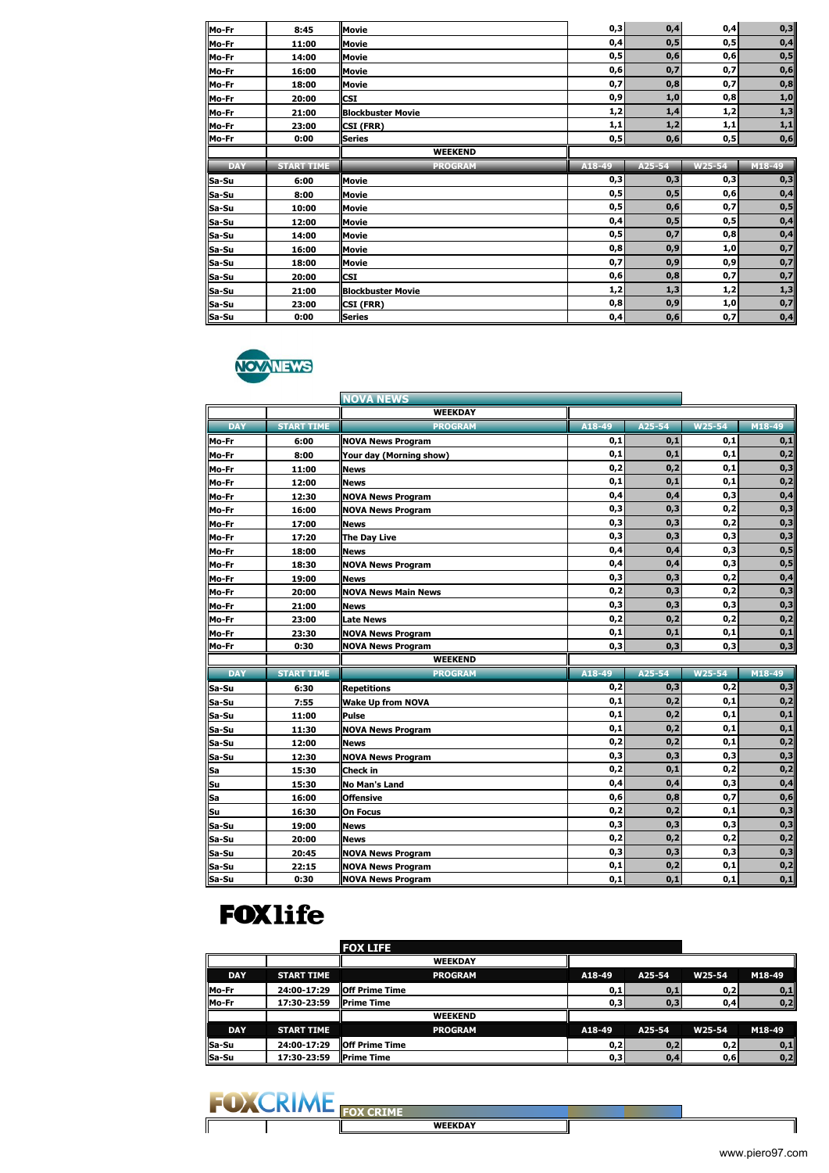| Mo-Fr                            | 8:45              | <b>Movie</b>             | 0,3        | 0,4    | 0,4    | 0,3            |
|----------------------------------|-------------------|--------------------------|------------|--------|--------|----------------|
| Mo-Fr                            | 11:00             | Movie                    | 0,4        | 0,5    | 0,5    | 0,4            |
| Mo-Fr                            | 14:00             | <b>Movie</b>             | 0,5        | 0,6    | 0,6    | 0,5            |
| Mo-Fr                            | 16:00             | <b>Movie</b>             | 0,6        | 0,7    | 0,7    | 0,6            |
| Mo-Fr                            | 18:00             | <b>Movie</b>             | 0,7        | 0,8    | 0,7    | 0,8            |
| Mo-Fr                            | 20:00             | <b>CSI</b>               | 0,9        | 1,0    | 0,8    | $\mathbf{1,0}$ |
| Mo-Fr                            | 21:00             | <b>Blockbuster Movie</b> | 1,2        | 1,4    | 1,2    | 1,3            |
| Mo-Fr                            | 23:00             | CSI (FRR)                | 1,1        | 1,2    | 1,1    | 1,1            |
| Mo-Fr                            | 0:00              | <b>Series</b>            | 0,5        | 0,6    | 0,5    | 0,6            |
|                                  |                   | <b>WEEKEND</b>           |            |        |        |                |
| <b>DAY</b>                       | <b>START TIME</b> | <b>PROGRAM</b>           | $A18 - 49$ | A25-54 | W25-54 | M18-49         |
|                                  |                   |                          |            |        |        |                |
|                                  | 6:00              | <b>Movie</b>             | 0,3        | 0,3    | 0,3    | 0,3            |
| Sa-Su<br>Sa-Su                   | 8:00              | <b>Movie</b>             | 0,5        | 0,5    | 0,6    | 0,4            |
| Sa-Su                            | 10:00             | <b>Movie</b>             | 0,5        | 0,6    | 0,7    | 0,5            |
|                                  | 12:00             | <b>Movie</b>             | 0,4        | 0,5    | 0,5    | 0,4            |
| Sa-Su<br>Sa-Su                   | 14:00             | <b>Movie</b>             | 0,5        | 0,7    | 0,8    | 0,4            |
|                                  | 16:00             | <b>Movie</b>             | 0,8        | 0,9    | 1,0    | 0,7            |
|                                  | 18:00             | Movie                    | 0,7        | 0,9    | 0,9    | 0,7            |
|                                  | 20:00             | <b>CSI</b>               | 0,6        | 0,8    | 0,7    | 0,7            |
| Sa-Su<br>Sa-Su<br>Sa-Su<br>Sa-Su | 21:00             | <b>Blockbuster Movie</b> | 1,2        | 1,3    | 1,2    | 1,3            |
| Sa-Su                            | 23:00             | CSI (FRR)                | 0,8        | 0,9    | 1,0    | 0,7            |



|            |                   | <b>NOVA NEWS</b>           |        |        |        |        |
|------------|-------------------|----------------------------|--------|--------|--------|--------|
|            |                   | <b>WEEKDAY</b>             |        |        |        |        |
| <b>DAY</b> | <b>START TIME</b> | <b>PROGRAM</b>             | A18-49 | A25-54 | W25-54 | M18-49 |
| Mo-Fr      | 6:00              | <b>NOVA News Program</b>   | 0,1    | 0,1    | 0,1    | 0,1    |
| Mo-Fr      | 8:00              | Your day (Morning show)    | 0,1    | 0,1    | 0,1    | 0,2    |
| Mo-Fr      | 11:00             | <b>News</b>                | 0,2    | 0,2    | 0,1    | 0,3    |
| Mo-Fr      | 12:00             | <b>News</b>                | 0,1    | 0,1    | 0,1    | 0,2    |
| Mo-Fr      | 12:30             | <b>NOVA News Program</b>   | 0,4    | 0,4    | 0,3    | 0,4    |
| Mo-Fr      | 16:00             | <b>NOVA News Program</b>   | 0,3    | 0,3    | 0,2    | 0,3    |
| Mo-Fr      | 17:00             | <b>News</b>                | 0,3    | 0,3    | 0,2    | 0,3    |
| Mo-Fr      | 17:20             | <b>The Day Live</b>        | 0,3    | 0,3    | 0,3    | 0,3    |
| Mo-Fr      | 18:00             | <b>News</b>                | 0,4    | 0,4    | 0,3    | 0,5    |
| Mo-Fr      | 18:30             | <b>NOVA News Program</b>   | 0,4    | 0,4    | 0,3    | 0,5    |
| Mo-Fr      | 19:00             | <b>News</b>                | 0,3    | 0,3    | 0,2    | 0,4    |
| Mo-Fr      | 20:00             | <b>NOVA News Main News</b> | 0,2    | 0,3    | 0,2    | 0,3    |
| Mo-Fr      | 21:00             | <b>News</b>                | 0,3    | 0,3    | 0,3    | 0,3    |
| Mo-Fr      | 23:00             | <b>Late News</b>           | 0,2    | 0,2    | 0,2    | 0,2    |
| Mo-Fr      | 23:30             | <b>NOVA News Program</b>   | 0,1    | 0,1    | 0,1    | 0,1    |
| Mo-Fr      | 0:30              | <b>NOVA News Program</b>   | 0,3    | 0,3    | 0,3    | 0,3    |
|            |                   | <b>WEEKEND</b>             |        |        |        |        |
| <b>DAY</b> | <b>START TIME</b> | <b>PROGRAM</b>             | A18-49 | A25-54 | W25-54 | M18-49 |
| Sa-Su      | 6:30              | <b>Repetitions</b>         | 0,2    | 0,3    | 0,2    | 0,3    |
| Sa-Su      | 7:55              | <b>Wake Up from NOVA</b>   | 0,1    | 0,2    | 0,1    | 0,2    |
| Sa-Su      | 11:00             | <b>Pulse</b>               | 0,1    | 0,2    | 0,1    | 0,1    |
| Sa-Su      | 11:30             | <b>NOVA News Program</b>   | 0,1    | 0,2    | 0,1    | 0,1    |
| Sa-Su      | 12:00             | <b>News</b>                | 0,2    | 0,2    | 0,1    | 0,2    |
| Sa-Su      | 12:30             | <b>NOVA News Program</b>   | 0,3    | 0,3    | 0,3    | 0,3    |
| <u>Sa</u>  | 15:30             | Check in                   | 0,2    | 0,1    | 0,2    | 0,2    |
| Su         | 15:30             | <b>No Man's Land</b>       | 0,4    | 0,4    | 0,3    | 0,4    |
| Sa         | 16:00             | <b>Offensive</b>           | 0,6    | 0,8    | 0,7    | 0,6    |
| Su         | 16:30             | <b>On Focus</b>            | 0,2    | 0,2    | 0,1    | 0,3    |
| Sa-Su      | 19:00             | <b>News</b>                | 0,3    | 0,3    | 0,3    | 0,3    |
| Sa-Su      | 20:00             | <b>News</b>                | 0,2    | 0,2    | 0,2    | 0,2    |
| Sa-Su      | 20:45             | <b>NOVA News Program</b>   | 0,3    | 0,3    | 0,3    | 0,3    |
| Sa-Su      | 22:15             | <b>NOVA News Program</b>   | 0,1    | 0,2    | 0,1    | 0,2    |
| Sa-Su      | 0:30              | <b>NOVA News Program</b>   | 0.1    | 0.1    | 0.1    | 0,1    |

## **FOX1ife**

|            |                   | <b>FOX LIFE</b>        |        |        |        |        |
|------------|-------------------|------------------------|--------|--------|--------|--------|
|            |                   | <b>WEEKDAY</b>         |        |        |        |        |
| <b>DAY</b> | <b>START TIME</b> | <b>PROGRAM</b>         | A18-49 | A25-54 | W25-54 | M18-49 |
| Mo-Fr      | 24:00-17:29       | <b>IOff Prime Time</b> | 0,1    | 0,1    | 0,2    | 0,1    |
| Mo-Fr      | 17:30-23:59       | <b>Prime Time</b>      | 0,3    | 0,3    | 0,4    | 0,2    |
|            |                   | <b>WEEKEND</b>         |        |        |        |        |
| <b>DAY</b> | <b>START TIME</b> | <b>PROGRAM</b>         | A18-49 | A25-54 | W25-54 | M18-49 |
| Sa-Su      | 24:00-17:29       | <b>IOff Prime Time</b> | 0,2    | 0,2    | 0,2    | 0,1    |
| Sa-Su      | 17:30-23:59       | <b>Prime Time</b>      | 0,3    | 0.4    | 0,6    | 0,2    |



 $\mathsf{l}$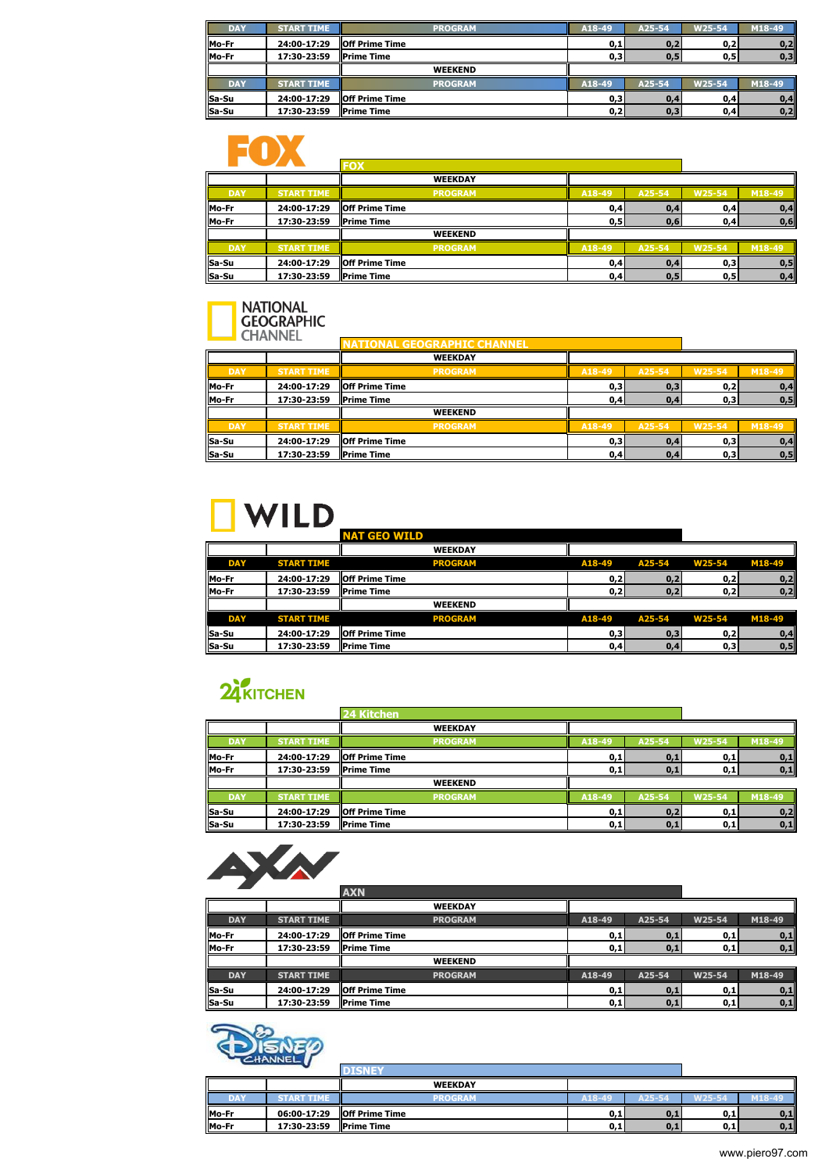| <b>DAY</b> | <b>START TIME</b> | <b>PROGRAM</b>         | A18-49 | A25-54 | W25-54 | M18-49 |
|------------|-------------------|------------------------|--------|--------|--------|--------|
| Mo-Fr      | 24:00-17:29       | <b>IOff Prime Time</b> | 0,1    | 0,2    | 0,2    | 0,2    |
| Mo-Fr      | 17:30-23:59       | <b>Prime Time</b>      | 0,3    | 0.5    | 0,5    | 0,3    |
|            |                   | <b>WEEKEND</b>         |        |        |        |        |
| <b>DAY</b> | <b>START TIME</b> | <b>PROGRAM</b>         | A18-49 | A25-54 | W25-54 | M18-49 |
| Sa-Su      | 24:00-17:29       | <b>IOff Prime Time</b> | 0,3    | 0,4    | 0,4    | 0,4    |
| Sa-Su      | 17:30-23:59       | <b>Prime Time</b>      | 0,2    | 0,3    | 0,4    | 0,2    |

# ENX

|            |                   | FOX                    |        |        |        |        |
|------------|-------------------|------------------------|--------|--------|--------|--------|
|            |                   | <b>WEEKDAY</b>         |        |        |        |        |
| <b>DAY</b> | <b>START TIME</b> | <b>PROGRAM</b>         | A18-49 | A25-54 | W25-54 | M18-49 |
| Mo-Fr      | 24:00-17:29       | <b>IOff Prime Time</b> | 0,4    | 0,4    | 0,4    | 0,4    |
| Mo-Fr      | 17:30-23:59       | <b>Prime Time</b>      | 0,5    | 0,6    | 0,4    | 0,6    |
|            |                   | <b>WEEKEND</b>         |        |        |        |        |
| <b>DAY</b> | <b>START TIME</b> | <b>PROGRAM</b>         | A18-49 | A25-54 | W25-54 | M18-49 |
| Sa-Su      | 24:00-17:29       | <b>IOff Prime Time</b> | 0,4    | 0,4    | 0,3    | 0,5    |
| Sa-Su      | 17:30-23:59       | <b>Prime Time</b>      | 0,4    | 0, 5   | 0,5    | 0,4    |

# NATIONAL<br>GEOGRAPHIC

|            | <b><i>CHANNEL</i></b> | <b>EOGRAPHIC CHANNEL</b><br><b>ATTONAL</b> |        |        |        |        |
|------------|-----------------------|--------------------------------------------|--------|--------|--------|--------|
|            |                       | <b>WEEKDAY</b>                             |        |        |        |        |
| <b>DAY</b> | <b>START TIME</b>     | <b>PROGRAM</b>                             | A18-49 | A25-54 | W25-54 | M18-49 |
| Mo-Fr      | 24:00-17:29           | <b>Off Prime Time</b>                      | 0,3    | 0,3    | 0,2    | 0,4    |
| Mo-Fr      | 17:30-23:59           | <b>Prime Time</b>                          | 0,4    | 0,4    | 0,3    | 0, 5   |
|            |                       | <b>WEEKEND</b>                             |        |        |        |        |
| <b>DAY</b> | <b>START TIME</b>     | <b>PROGRAM</b>                             | A18-49 | A25-54 | W25-54 | M18-49 |
| Sa-Su      | 24:00-17:29           | <b>IOff Prime Time</b>                     | 0,3    | 0,4    | 0,3    | 0,4    |
| Sa-Su      | 17:30-23:59           | <b>Prime Time</b>                          | 0,4    | 0,4    | 0,3    | 0, 5   |

# $\Box$  WILD  $\_\_\_\_\_\_\_\_\_\_\_\_\_$

|            |                   | <b>NAT GEO WILD</b>    |        |        |        |        |
|------------|-------------------|------------------------|--------|--------|--------|--------|
|            |                   | <b>WEEKDAY</b>         |        |        |        |        |
| <b>DAY</b> | <b>START TIME</b> | <b>PROGRAM</b>         | A18-49 | A25-54 | W25-54 | M18-49 |
| Mo-Fr      | 24:00-17:29       | <b>IOff Prime Time</b> | 0,2    | 0,2    | 0,2    | 0,2    |
| Mo-Fr      | 17:30-23:59       | <b>Prime Time</b>      | 0,2    | 0.2    | 0,2    | 0,2    |
|            |                   | <b>WEEKEND</b>         |        |        |        |        |
| <b>DAY</b> | <b>START TIME</b> | <b>PROGRAM</b>         | A18-49 | A25-54 | W25-54 | M18-49 |
| Sa-Su      | 24:00-17:29       | <b>IOff Prime Time</b> | 0,3    | 0,3    | 0,2    | 0,4    |
| Sa-Su      | 17:30-23:59       | <b>IPrime Time</b>     | 0,4    | 0,4    | 0,3    | 0, 5   |

## 24 KITCHEN

|            |                   | <b>24 Kitchen</b>     |        |        |        |        |
|------------|-------------------|-----------------------|--------|--------|--------|--------|
|            |                   | <b>WEEKDAY</b>        |        |        |        |        |
| <b>DAY</b> | <b>START TIME</b> | <b>PROGRAM</b>        | A18-49 | A25-54 | W25-54 | M18-49 |
| Mo-Fr      | 24:00-17:29       | <b>Off Prime Time</b> | 0,1    | 0,1    | 0,1    | 0,1    |
| Mo-Fr      | 17:30-23:59       | <b>Prime Time</b>     | 0,1    | 0,1    | 0,1    | 0,1    |
|            |                   | <b>WEEKEND</b>        |        |        |        |        |
| <b>DAY</b> | <b>START TIME</b> | <b>PROGRAM</b>        | A18-49 | A25-54 | W25-54 | M18-49 |
| Sa-Su      | 24:00-17:29       | <b>Off Prime Time</b> | 0,1    | 0,2    | 0,1    | 0,2    |
| Sa-Su      | 17:30-23:59       | <b>Prime Time</b>     | 0,1    | 0,1    | 0,1    | 0,1    |



|            |                   | <b>AXN</b>             |        |        |        |        |
|------------|-------------------|------------------------|--------|--------|--------|--------|
|            |                   | <b>WEEKDAY</b>         |        |        |        |        |
| <b>DAY</b> | <b>START TIME</b> | <b>PROGRAM</b>         | A18-49 | A25-54 | W25-54 | M18-49 |
| Mo-Fr      | 24:00-17:29       | <b>IOff Prime Time</b> | 0,1    | 0,1    | 0,1    | 0,1    |
| Mo-Fr      | 17:30-23:59       | <b>Prime Time</b>      | 0,1    | 0,1    | 0,1    | 0,1    |
|            |                   | <b>WEEKEND</b>         |        |        |        |        |
| <b>DAY</b> | <b>START TIME</b> | <b>PROGRAM</b>         | A18-49 | A25-54 | W25-54 | M18-49 |
| Sa-Su      | 24:00-17:29       | <b>IOff Prime Time</b> | 0,1    | 0,1    | 0,1    | 0,1    |
| Sa-Su      | 17:30-23:59       | <b>Prime Time</b>      | 0,1    | 0,1    | 0,1    | 0,1    |



|            | --------- <b>--</b> - |                   |        |        |        |        |
|------------|-----------------------|-------------------|--------|--------|--------|--------|
|            |                       | <b>WEEKDAY</b>    |        |        |        |        |
| <b>DAY</b> | START TIM             | PROGRAM           | A18-49 | A25-54 | W25-54 | M18-49 |
| Mo-Fr      | 06:00-17:29           | loff Prime Time   | 0,1    | 0.1    | 0,1    | 0,1    |
| Mo-Fr      | 17:30-23:59           | <b>Prime Time</b> | 0,1    | 0,1    | 0,1    | 0,1    |